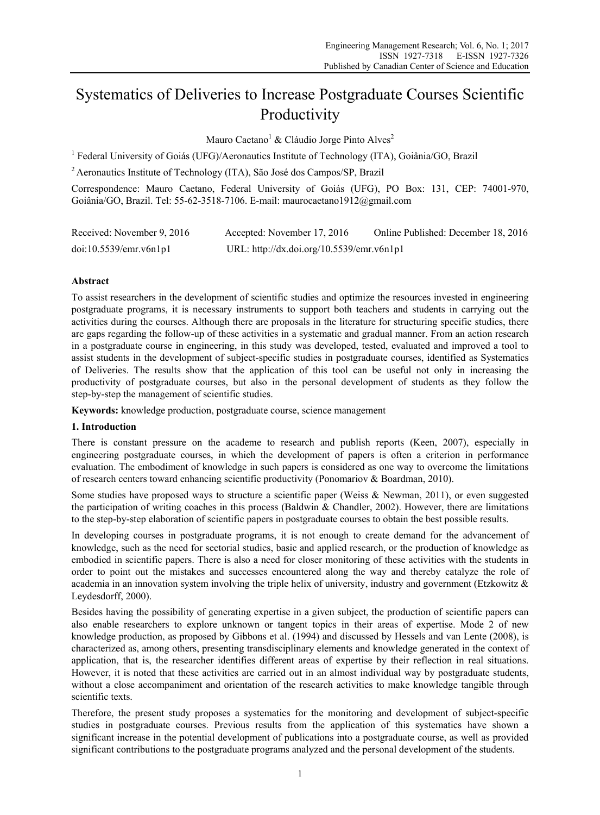# Systematics of Deliveries to Increase Postgraduate Courses Scientific Productivity

Mauro Caetano<sup>1</sup> & Cláudio Jorge Pinto Alves<sup>2</sup>

<sup>1</sup> Federal University of Goiás (UFG)/Aeronautics Institute of Technology (ITA), Goiânia/GO, Brazil

2 Aeronautics Institute of Technology (ITA), São José dos Campos/SP, Brazil

Correspondence: Mauro Caetano, Federal University of Goiás (UFG), PO Box: 131, CEP: 74001-970, Goiânia/GO, Brazil. Tel: 55-62-3518-7106. E-mail: maurocaetano1912@gmail.com

| Received: November 9, 2016 | Accepted: November 17, 2016               | Online Published: December 18, 2016 |
|----------------------------|-------------------------------------------|-------------------------------------|
| doi:10.5539/emr.v6n1p1     | URL: http://dx.doi.org/10.5539/emr.v6n1p1 |                                     |

# **Abstract**

To assist researchers in the development of scientific studies and optimize the resources invested in engineering postgraduate programs, it is necessary instruments to support both teachers and students in carrying out the activities during the courses. Although there are proposals in the literature for structuring specific studies, there are gaps regarding the follow-up of these activities in a systematic and gradual manner. From an action research in a postgraduate course in engineering, in this study was developed, tested, evaluated and improved a tool to assist students in the development of subject-specific studies in postgraduate courses, identified as Systematics of Deliveries. The results show that the application of this tool can be useful not only in increasing the productivity of postgraduate courses, but also in the personal development of students as they follow the step-by-step the management of scientific studies.

**Keywords:** knowledge production, postgraduate course, science management

## **1. Introduction**

There is constant pressure on the academe to research and publish reports (Keen, 2007), especially in engineering postgraduate courses, in which the development of papers is often a criterion in performance evaluation. The embodiment of knowledge in such papers is considered as one way to overcome the limitations of research centers toward enhancing scientific productivity (Ponomariov & Boardman, 2010).

Some studies have proposed ways to structure a scientific paper (Weiss & Newman, 2011), or even suggested the participation of writing coaches in this process (Baldwin & Chandler, 2002). However, there are limitations to the step-by-step elaboration of scientific papers in postgraduate courses to obtain the best possible results.

In developing courses in postgraduate programs, it is not enough to create demand for the advancement of knowledge, such as the need for sectorial studies, basic and applied research, or the production of knowledge as embodied in scientific papers. There is also a need for closer monitoring of these activities with the students in order to point out the mistakes and successes encountered along the way and thereby catalyze the role of academia in an innovation system involving the triple helix of university, industry and government (Etzkowitz & Leydesdorff, 2000).

Besides having the possibility of generating expertise in a given subject, the production of scientific papers can also enable researchers to explore unknown or tangent topics in their areas of expertise. Mode 2 of new knowledge production, as proposed by Gibbons et al. (1994) and discussed by Hessels and van Lente (2008), is characterized as, among others, presenting transdisciplinary elements and knowledge generated in the context of application, that is, the researcher identifies different areas of expertise by their reflection in real situations. However, it is noted that these activities are carried out in an almost individual way by postgraduate students, without a close accompaniment and orientation of the research activities to make knowledge tangible through scientific texts.

Therefore, the present study proposes a systematics for the monitoring and development of subject-specific studies in postgraduate courses. Previous results from the application of this systematics have shown a significant increase in the potential development of publications into a postgraduate course, as well as provided significant contributions to the postgraduate programs analyzed and the personal development of the students.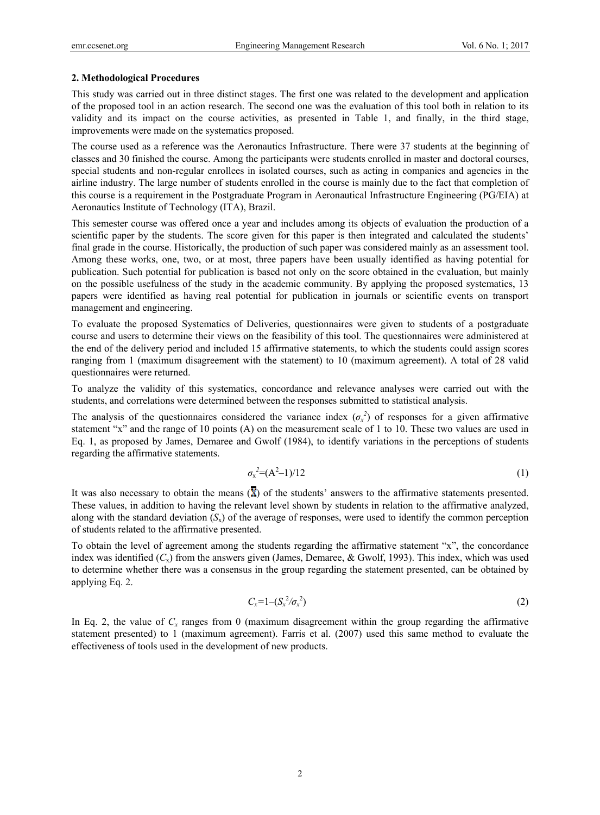#### **2. Methodological Procedures**

This study was carried out in three distinct stages. The first one was related to the development and application of the proposed tool in an action research. The second one was the evaluation of this tool both in relation to its validity and its impact on the course activities, as presented in Table 1, and finally, in the third stage, improvements were made on the systematics proposed.

The course used as a reference was the Aeronautics Infrastructure. There were 37 students at the beginning of classes and 30 finished the course. Among the participants were students enrolled in master and doctoral courses, special students and non-regular enrollees in isolated courses, such as acting in companies and agencies in the airline industry. The large number of students enrolled in the course is mainly due to the fact that completion of this course is a requirement in the Postgraduate Program in Aeronautical Infrastructure Engineering (PG/EIA) at Aeronautics Institute of Technology (ITA), Brazil.

This semester course was offered once a year and includes among its objects of evaluation the production of a scientific paper by the students. The score given for this paper is then integrated and calculated the students' final grade in the course. Historically, the production of such paper was considered mainly as an assessment tool. Among these works, one, two, or at most, three papers have been usually identified as having potential for publication. Such potential for publication is based not only on the score obtained in the evaluation, but mainly on the possible usefulness of the study in the academic community. By applying the proposed systematics, 13 papers were identified as having real potential for publication in journals or scientific events on transport management and engineering.

To evaluate the proposed Systematics of Deliveries, questionnaires were given to students of a postgraduate course and users to determine their views on the feasibility of this tool. The questionnaires were administered at the end of the delivery period and included 15 affirmative statements, to which the students could assign scores ranging from 1 (maximum disagreement with the statement) to 10 (maximum agreement). A total of 28 valid questionnaires were returned.

To analyze the validity of this systematics, concordance and relevance analyses were carried out with the students, and correlations were determined between the responses submitted to statistical analysis.

The analysis of the questionnaires considered the variance index  $(\sigma_x^2)$  of responses for a given affirmative statement "x" and the range of 10 points (A) on the measurement scale of 1 to 10. These two values are used in Eq. 1, as proposed by James, Demaree and Gwolf (1984), to identify variations in the perceptions of students regarding the affirmative statements.

$$
\sigma_x^2 = (A^2 - 1)/12 \tag{1}
$$

It was also necessary to obtain the means  $(\overline{X})$  of the students' answers to the affirmative statements presented. These values, in addition to having the relevant level shown by students in relation to the affirmative analyzed, along with the standard deviation  $(S_x)$  of the average of responses, were used to identify the common perception of students related to the affirmative presented.

To obtain the level of agreement among the students regarding the affirmative statement "x", the concordance index was identified (*C*x) from the answers given (James, Demaree, & Gwolf, 1993). This index, which was used to determine whether there was a consensus in the group regarding the statement presented, can be obtained by applying Eq. 2.

$$
C_x = 1 - (S_x^2 / \sigma_x^2) \tag{2}
$$

In Eq. 2, the value of  $C_x$  ranges from 0 (maximum disagreement within the group regarding the affirmative statement presented) to 1 (maximum agreement). Farris et al. (2007) used this same method to evaluate the effectiveness of tools used in the development of new products.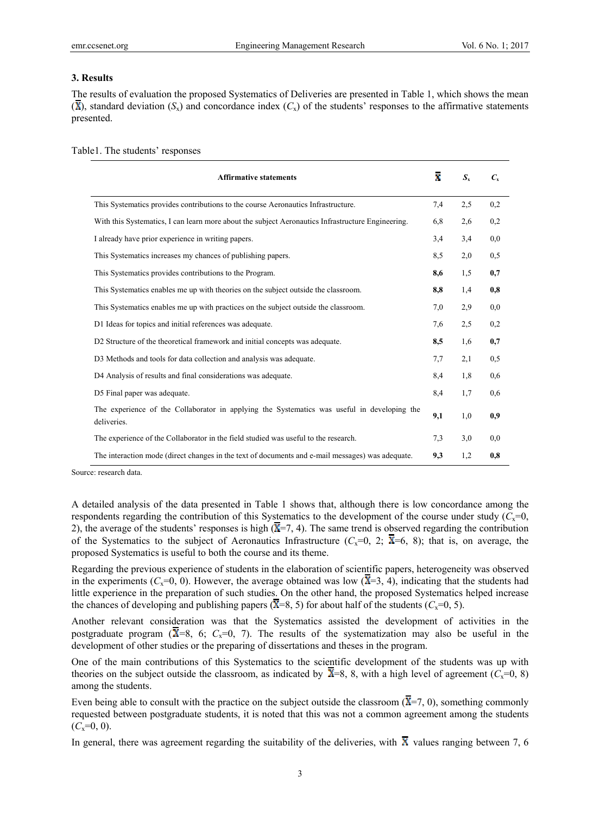#### **3. Results**

The results of evaluation the proposed Systematics of Deliveries are presented in Table 1, which shows the mean  $(\overline{X})$ , standard deviation  $(S_x)$  and concordance index  $(C_x)$  of the students' responses to the affirmative statements presented.

| <b>Affirmative statements</b>                                                                              | ž.  | $S_{x}$ | $C_{\rm x}$ |
|------------------------------------------------------------------------------------------------------------|-----|---------|-------------|
| This Systematics provides contributions to the course Aeronautics Infrastructure.                          | 7,4 | 2,5     | 0,2         |
| With this Systematics, I can learn more about the subject Aeronautics Infrastructure Engineering.          | 6.8 | 2,6     | 0,2         |
| I already have prior experience in writing papers.                                                         | 3,4 | 3,4     | 0,0         |
| This Systematics increases my chances of publishing papers.                                                | 8.5 | 2,0     | 0,5         |
| This Systematics provides contributions to the Program.                                                    | 8,6 | 1,5     | 0,7         |
| This Systematics enables me up with theories on the subject outside the classroom.                         | 8,8 | 1,4     | 0,8         |
| This Systematics enables me up with practices on the subject outside the classroom.                        | 7,0 | 2,9     | 0,0         |
| D1 Ideas for topics and initial references was adequate.                                                   | 7,6 | 2,5     | 0,2         |
| D2 Structure of the theoretical framework and initial concepts was adequate.                               | 8,5 | 1,6     | 0,7         |
| D3 Methods and tools for data collection and analysis was adequate.                                        | 7,7 | 2,1     | 0,5         |
| D4 Analysis of results and final considerations was adequate.                                              | 8,4 | 1,8     | 0,6         |
| D5 Final paper was adequate.                                                                               | 8,4 | 1,7     | 0,6         |
| The experience of the Collaborator in applying the Systematics was useful in developing the<br>deliveries. | 9,1 | 1,0     | 0.9         |
| The experience of the Collaborator in the field studied was useful to the research.                        | 7,3 | 3,0     | 0.0         |
| The interaction mode (direct changes in the text of documents and e-mail messages) was adequate.           | 9,3 | 1,2     | 0,8         |

Table1. The students' responses

Source: research data.

A detailed analysis of the data presented in Table 1 shows that, although there is low concordance among the respondents regarding the contribution of this Systematics to the development of the course under study  $(C_x=0,$ 2), the average of the students' responses is high  $(\overline{X} = 7, 4)$ . The same trend is observed regarding the contribution of the Systematics to the subject of Aeronautics Infrastructure ( $C_x=0$ , 2;  $\bar{x}=6$ , 8); that is, on average, the proposed Systematics is useful to both the course and its theme.

Regarding the previous experience of students in the elaboration of scientific papers, heterogeneity was observed in the experiments ( $C_x=0$ , 0). However, the average obtained was low ( $\overline{X}=3$ , 4), indicating that the students had little experience in the preparation of such studies. On the other hand, the proposed Systematics helped increase the chances of developing and publishing papers ( $\overline{X}=8, 5$ ) for about half of the students ( $C_x=0, 5$ ).

Another relevant consideration was that the Systematics assisted the development of activities in the postgraduate program ( $\overline{X}=8$ , 6;  $C_x=0$ , 7). The results of the systematization may also be useful in the development of other studies or the preparing of dissertations and theses in the program.

One of the main contributions of this Systematics to the scientific development of the students was up with theories on the subject outside the classroom, as indicated by  $\overline{X}=8$ , 8, with a high level of agreement ( $C_x=0$ , 8) among the students.

Even being able to consult with the practice on the subject outside the classroom  $(\overline{X} = 7, 0)$ , something commonly requested between postgraduate students, it is noted that this was not a common agreement among the students  $(C_x=0, 0)$ .

In general, there was agreement regarding the suitability of the deliveries, with  $\overline{X}$  values ranging between 7, 6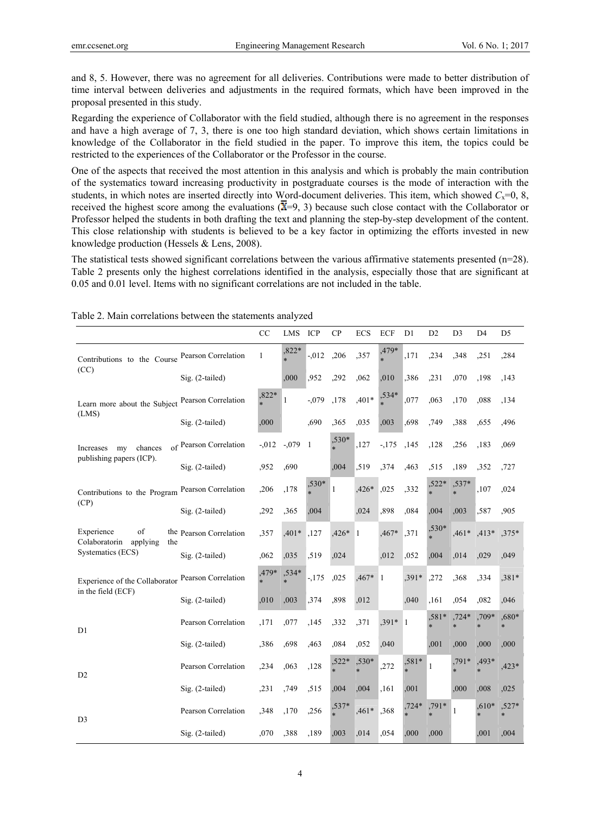and 8, 5. However, there was no agreement for all deliveries. Contributions were made to better distribution of time interval between deliveries and adjustments in the required formats, which have been improved in the proposal presented in this study.

Regarding the experience of Collaborator with the field studied, although there is no agreement in the responses and have a high average of 7, 3, there is one too high standard deviation, which shows certain limitations in knowledge of the Collaborator in the field studied in the paper. To improve this item, the topics could be restricted to the experiences of the Collaborator or the Professor in the course.

One of the aspects that received the most attention in this analysis and which is probably the main contribution of the systematics toward increasing productivity in postgraduate courses is the mode of interaction with the students, in which notes are inserted directly into Word-document deliveries. This item, which showed  $C_x=0, 8$ , received the highest score among the evaluations  $(\overline{X}=9, 3)$  because such close contact with the Collaborator or Professor helped the students in both drafting the text and planning the step-by-step development of the content. This close relationship with students is believed to be a key factor in optimizing the efforts invested in new knowledge production (Hessels & Lens, 2008).

The statistical tests showed significant correlations between the various affirmative statements presented (n=28). Table 2 presents only the highest correlations identified in the analysis, especially those that are significant at 0.05 and 0.01 level. Items with no significant correlations are not included in the table.

|                                                      |                         | CC           | LMS      | ICP          | CP           | ECS          | <b>ECF</b> | D1             | D <sub>2</sub> | D <sub>3</sub> | D <sub>4</sub>    | D <sub>5</sub>  |
|------------------------------------------------------|-------------------------|--------------|----------|--------------|--------------|--------------|------------|----------------|----------------|----------------|-------------------|-----------------|
| Contributions to the Course Pearson Correlation      |                         | $\mathbf{1}$ | ,822*    | $-0.012$     | ,206         | ,357         | ,479*      | ,171           | ,234           | .348           | ,251              | ,284            |
| (CC)                                                 | Sig. (2-tailed)         |              | ,000     | ,952         | ,292         | ,062         | ,010       | ,386           | ,231           | ,070           | ,198              | ,143            |
| Learn more about the Subject                         | Pearson Correlation     | ,822*        | 1        | $-0.079$     | ,178         | $,401*$      | ,534*      | ,077           | ,063           | ,170           | ,088              | ,134            |
| (LMS)                                                | Sig. (2-tailed)         | ,000         |          | ,690         | ,365         | ,035         | ,003       | .698           | .749           | ,388           | .655              | ,496            |
| my<br>chances<br>Increases                           | of Pearson Correlation  | $-0.012$     | $-0.079$ | $\mathbf{1}$ | ,530*        | ,127         | $-175$     | ,145           | ,128           | ,256           | ,183              | ,069            |
| publishing papers (ICP).                             | Sig. (2-tailed)         | ,952         | ,690     |              | ,004         | ,519         | ,374       | ,463           | ,515           | ,189           | ,352              | ,727            |
| Contributions to the Program<br>(CP)                 | Pearson Correlation     | ,206         | ,178     | $,530*$      | $\mathbf{1}$ | ,426*        | ,025       | ,332           | $,522*$        | ,537*          | ,107              | ,024            |
|                                                      | Sig. (2-tailed)         | ,292         | ,365     | ,004         |              | ,024         | ,898       | ,084           | ,004           | ,003           | ,587              | ,905            |
| Experience<br>of<br>Colaboratorin<br>applying<br>the | the Pearson Correlation | ,357         | ,401*    | ,127         | ,426*        | $\mathbf{1}$ | ,467*      | ,371           | ,530*          | ,461*          | $,413*$           | $,375*$         |
| Systematics (ECS)                                    | Sig. (2-tailed)         | ,062         | ,035     | ,519         | ,024         |              | ,012       | ,052           | ,004           | ,014           | ,029              | ,049            |
| Experience of the Collaborator<br>in the field (ECF) | Pearson Correlation     | ,479*        | $,534*$  | $-175$       | ,025         | ,467*        | 1          | ,391*          | ,272           | ,368           | ,334              | $,381*$         |
|                                                      | Sig. (2-tailed)         | ,010         | ,003     | ,374         | ,898         | ,012         |            | ,040           | ,161           | ,054           | ,082              | ,046            |
| D1                                                   | Pearson Correlation     | ,171         | ,077     | ,145         | ,332         | ,371         | ,391*      | $\overline{1}$ | $,581*$        | $,724*$        | ,709*             | ,680*           |
|                                                      | $Sig. (2-tailed)$       | ,386         | ,698     | ,463         | ,084         | ,052         | ,040       |                | ,001           | ,000           | ,000              | ,000            |
| D <sub>2</sub>                                       | Pearson Correlation     | ,234         | ,063     | ,128         | $,522*$      | ,530*        | ,272       | ,581*          | 1              | $,791*$        | ,493*<br>$\ast$   | ,423*           |
|                                                      | Sig. (2-tailed)         | ,231         | ,749     | ,515         | ,004         | ,004         | ,161       | ,001           |                | ,000           | ,008              | ,025            |
| D <sub>3</sub>                                       | Pearson Correlation     | ,348         | ,170     | ,256         | $,537*$      | $,461*$      | ,368       | $,724*$        | ,791*<br>×.    | 1              | $,610*$<br>$\ast$ | ,527*<br>$\ast$ |
|                                                      | Sig. (2-tailed)         | ,070         | ,388     | ,189         | ,003         | ,014         | ,054       | ,000           | ,000           |                | ,001              | ,004            |

Table 2. Main correlations between the statements analyzed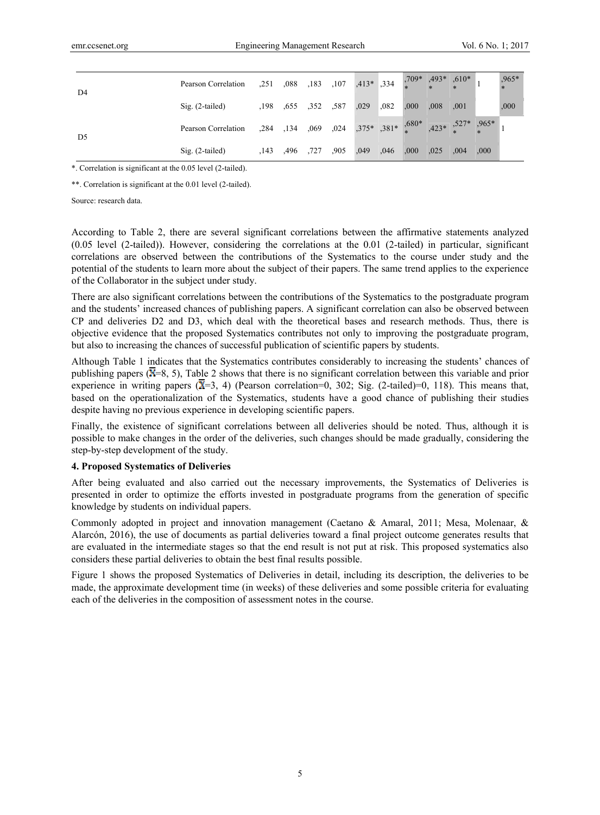| D4             | Pearson Correlation |                     | 251 ,088 ,183 ,107 ,413* ,334 ,709* ,493* ,610*                             |     |      |      |            |      |      | ,965*<br>$*$ |
|----------------|---------------------|---------------------|-----------------------------------------------------------------------------|-----|------|------|------------|------|------|--------------|
|                | $Sig. (2-tailed)$   |                     | ,198, 029, 587, 587, 198, 198                                               |     |      | 000  | $.008$ 001 |      |      | ,000         |
| D <sub>5</sub> | Pearson Correlation |                     | 284 , 134 , 069 , 024 , $375*$ , $381*$ , $680*$ , $423*$ , $527*$ , $965*$ |     |      |      |            |      |      |              |
|                | $Sig. (2-tailed)$   | .143 .496 .727 .905 |                                                                             | 049 | ,046 | .000 | .025       | .004 | .000 |              |

\*. Correlation is significant at the 0.05 level (2-tailed).

\*\*. Correlation is significant at the 0.01 level (2-tailed).

Source: research data.

According to Table 2, there are several significant correlations between the affirmative statements analyzed (0.05 level (2-tailed)). However, considering the correlations at the 0.01 (2-tailed) in particular, significant correlations are observed between the contributions of the Systematics to the course under study and the potential of the students to learn more about the subject of their papers. The same trend applies to the experience of the Collaborator in the subject under study.

There are also significant correlations between the contributions of the Systematics to the postgraduate program and the students' increased chances of publishing papers. A significant correlation can also be observed between CP and deliveries D2 and D3, which deal with the theoretical bases and research methods. Thus, there is objective evidence that the proposed Systematics contributes not only to improving the postgraduate program, but also to increasing the chances of successful publication of scientific papers by students.

Although Table 1 indicates that the Systematics contributes considerably to increasing the students' chances of publishing papers  $(\overline{X}=8, 5)$ , Table 2 shows that there is no significant correlation between this variable and prior experience in writing papers ( $\overline{X}$ =3, 4) (Pearson correlation=0, 302; Sig. (2-tailed)=0, 118). This means that, based on the operationalization of the Systematics, students have a good chance of publishing their studies despite having no previous experience in developing scientific papers.

Finally, the existence of significant correlations between all deliveries should be noted. Thus, although it is possible to make changes in the order of the deliveries, such changes should be made gradually, considering the step-by-step development of the study.

#### **4. Proposed Systematics of Deliveries**

After being evaluated and also carried out the necessary improvements, the Systematics of Deliveries is presented in order to optimize the efforts invested in postgraduate programs from the generation of specific knowledge by students on individual papers.

Commonly adopted in project and innovation management (Caetano & Amaral, 2011; Mesa, Molenaar, & Alarcón, 2016), the use of documents as partial deliveries toward a final project outcome generates results that are evaluated in the intermediate stages so that the end result is not put at risk. This proposed systematics also considers these partial deliveries to obtain the best final results possible.

Figure 1 shows the proposed Systematics of Deliveries in detail, including its description, the deliveries to be made, the approximate development time (in weeks) of these deliveries and some possible criteria for evaluating each of the deliveries in the composition of assessment notes in the course.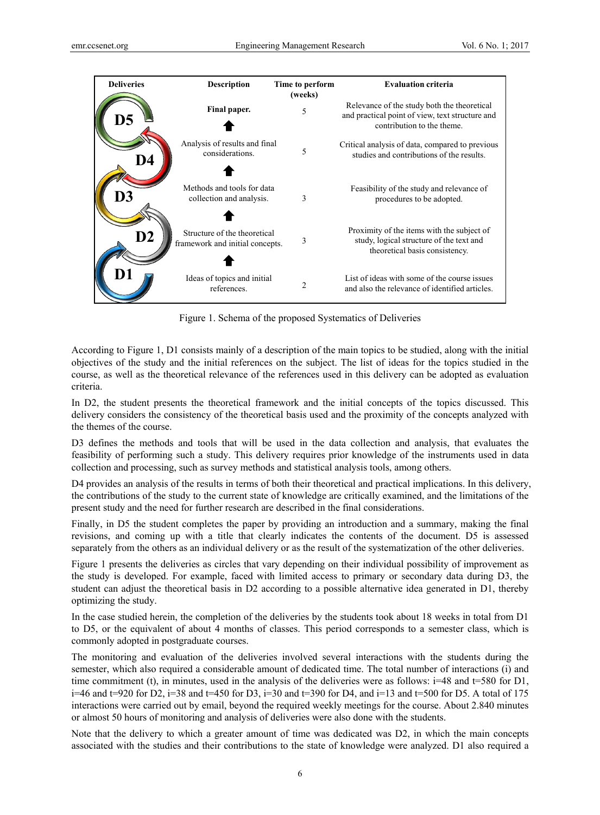| <b>Deliveries</b> | <b>Description</b>                                              | Time to perform<br>(weeks) | <b>Evaluation criteria</b>                                                                                                   |
|-------------------|-----------------------------------------------------------------|----------------------------|------------------------------------------------------------------------------------------------------------------------------|
| D5                | Final paper.                                                    | 5                          | Relevance of the study both the theoretical<br>and practical point of view, text structure and<br>contribution to the theme. |
| D4                | Analysis of results and final<br>considerations.                | 5                          | Critical analysis of data, compared to previous<br>studies and contributions of the results.                                 |
| D3                | Methods and tools for data<br>collection and analysis.          | 3                          | Feasibility of the study and relevance of<br>procedures to be adopted.                                                       |
| $\mathbf{D2}$     | Structure of the theoretical<br>framework and initial concepts. | 3                          | Proximity of the items with the subject of<br>study, logical structure of the text and<br>theoretical basis consistency.     |
|                   | Ideas of topics and initial<br>references.                      | $\overline{c}$             | List of ideas with some of the course issues<br>and also the relevance of identified articles.                               |

Figure 1. Schema of the proposed Systematics of Deliveries

According to Figure 1, D1 consists mainly of a description of the main topics to be studied, along with the initial objectives of the study and the initial references on the subject. The list of ideas for the topics studied in the course, as well as the theoretical relevance of the references used in this delivery can be adopted as evaluation criteria.

In D2, the student presents the theoretical framework and the initial concepts of the topics discussed. This delivery considers the consistency of the theoretical basis used and the proximity of the concepts analyzed with the themes of the course.

D3 defines the methods and tools that will be used in the data collection and analysis, that evaluates the feasibility of performing such a study. This delivery requires prior knowledge of the instruments used in data collection and processing, such as survey methods and statistical analysis tools, among others.

D4 provides an analysis of the results in terms of both their theoretical and practical implications. In this delivery, the contributions of the study to the current state of knowledge are critically examined, and the limitations of the present study and the need for further research are described in the final considerations.

Finally, in D5 the student completes the paper by providing an introduction and a summary, making the final revisions, and coming up with a title that clearly indicates the contents of the document. D5 is assessed separately from the others as an individual delivery or as the result of the systematization of the other deliveries.

Figure 1 presents the deliveries as circles that vary depending on their individual possibility of improvement as the study is developed. For example, faced with limited access to primary or secondary data during D3, the student can adjust the theoretical basis in D2 according to a possible alternative idea generated in D1, thereby optimizing the study.

In the case studied herein, the completion of the deliveries by the students took about 18 weeks in total from D1 to D5, or the equivalent of about 4 months of classes. This period corresponds to a semester class, which is commonly adopted in postgraduate courses.

The monitoring and evaluation of the deliveries involved several interactions with the students during the semester, which also required a considerable amount of dedicated time. The total number of interactions (i) and time commitment (t), in minutes, used in the analysis of the deliveries were as follows:  $i=48$  and  $t=580$  for D1, i=46 and t=920 for D2, i=38 and t=450 for D3, i=30 and t=390 for D4, and i=13 and t=500 for D5. A total of 175 interactions were carried out by email, beyond the required weekly meetings for the course. About 2.840 minutes or almost 50 hours of monitoring and analysis of deliveries were also done with the students.

Note that the delivery to which a greater amount of time was dedicated was D2, in which the main concepts associated with the studies and their contributions to the state of knowledge were analyzed. D1 also required a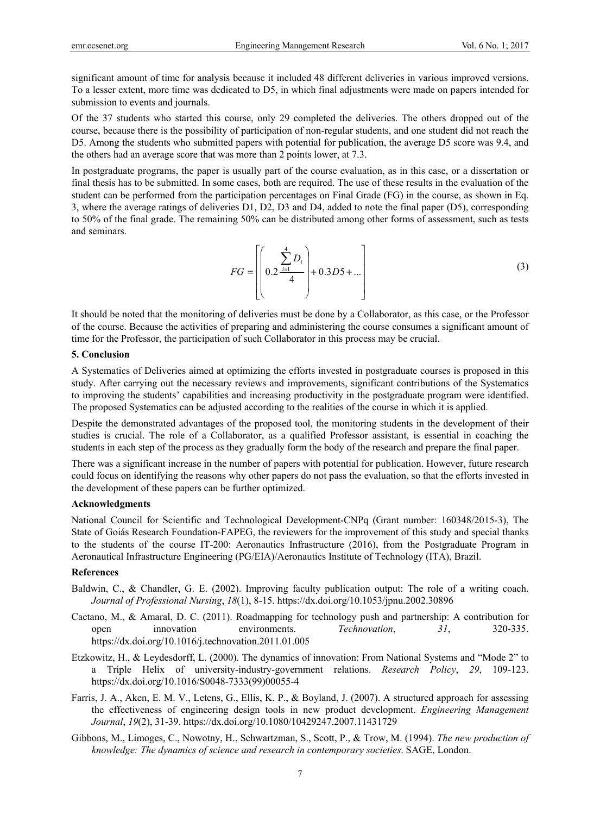significant amount of time for analysis because it included 48 different deliveries in various improved versions. To a lesser extent, more time was dedicated to D5, in which final adjustments were made on papers intended for submission to events and journals.

Of the 37 students who started this course, only 29 completed the deliveries. The others dropped out of the course, because there is the possibility of participation of non-regular students, and one student did not reach the D5. Among the students who submitted papers with potential for publication, the average D5 score was 9.4, and the others had an average score that was more than 2 points lower, at 7.3.

In postgraduate programs, the paper is usually part of the course evaluation, as in this case, or a dissertation or final thesis has to be submitted. In some cases, both are required. The use of these results in the evaluation of the student can be performed from the participation percentages on Final Grade (FG) in the course, as shown in Eq. 3, where the average ratings of deliveries D1, D2, D3 and D4, added to note the final paper (D5), corresponding to 50% of the final grade. The remaining 50% can be distributed among other forms of assessment, such as tests and seminars.

$$
FG = \left[ \left( 0.2 \frac{\sum_{i=1}^{4} D_i}{4} \right) + 0.3D5 + \dots \right]
$$
 (3)

It should be noted that the monitoring of deliveries must be done by a Collaborator, as this case, or the Professor of the course. Because the activities of preparing and administering the course consumes a significant amount of time for the Professor, the participation of such Collaborator in this process may be crucial.

## **5. Conclusion**

A Systematics of Deliveries aimed at optimizing the efforts invested in postgraduate courses is proposed in this study. After carrying out the necessary reviews and improvements, significant contributions of the Systematics to improving the students' capabilities and increasing productivity in the postgraduate program were identified. The proposed Systematics can be adjusted according to the realities of the course in which it is applied.

Despite the demonstrated advantages of the proposed tool, the monitoring students in the development of their studies is crucial. The role of a Collaborator, as a qualified Professor assistant, is essential in coaching the students in each step of the process as they gradually form the body of the research and prepare the final paper.

There was a significant increase in the number of papers with potential for publication. However, future research could focus on identifying the reasons why other papers do not pass the evaluation, so that the efforts invested in the development of these papers can be further optimized.

#### **Acknowledgments**

National Council for Scientific and Technological Development-CNPq (Grant number: 160348/2015-3), The State of Goiás Research Foundation-FAPEG, the reviewers for the improvement of this study and special thanks to the students of the course IT-200: Aeronautics Infrastructure (2016), from the Postgraduate Program in Aeronautical Infrastructure Engineering (PG/EIA)/Aeronautics Institute of Technology (ITA), Brazil.

#### **References**

- Baldwin, C., & Chandler, G. E. (2002). Improving faculty publication output: The role of a writing coach. *Journal of Professional Nursing*, *18*(1), 8-15. https://dx.doi.org/10.1053/jpnu.2002.30896
- Caetano, M., & Amaral, D. C. (2011). Roadmapping for technology push and partnership: A contribution for open innovation environments. *Technovation*, *31*, 320-335. https://dx.doi.org/10.1016/j.technovation.2011.01.005
- Etzkowitz, H., & Leydesdorff, L. (2000). The dynamics of innovation: From National Systems and "Mode 2" to a Triple Helix of university-industry-government relations. *Research Policy*, *29*, 109-123. https://dx.doi.org/10.1016/S0048-7333(99)00055-4
- Farris, J. A., Aken, E. M. V., Letens, G., Ellis, K. P., & Boyland, J. (2007). A structured approach for assessing the effectiveness of engineering design tools in new product development. *Engineering Management Journal*, *19*(2), 31-39. https://dx.doi.org/10.1080/10429247.2007.11431729
- Gibbons, M., Limoges, C., Nowotny, H., Schwartzman, S., Scott, P., & Trow, M. (1994). *The new production of knowledge: The dynamics of science and research in contemporary societies*. SAGE, London.